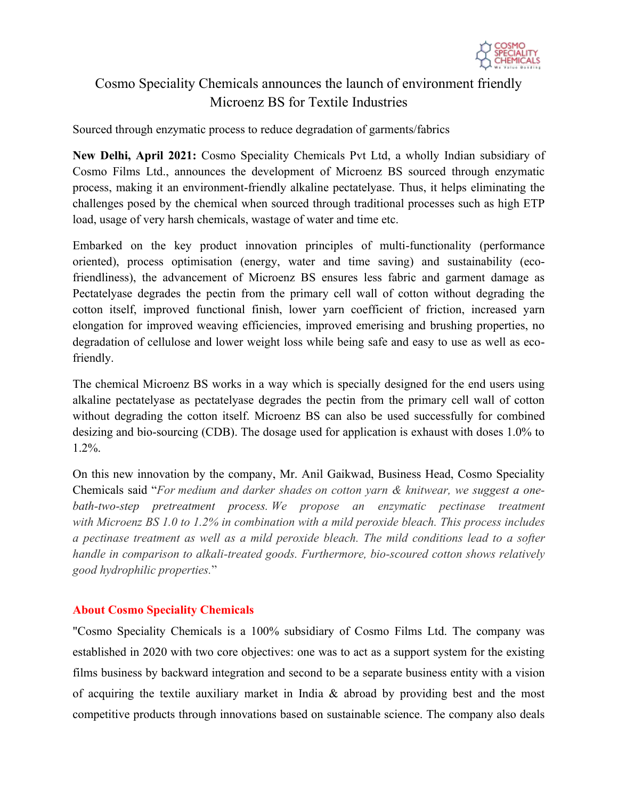

## Cosmo Speciality Chemicals announces the launch of environment friendly Microenz BS for Textile Industries

Sourced through enzymatic process to reduce degradation of garments/fabrics

**New Delhi, April 2021:** Cosmo Speciality Chemicals Pvt Ltd, a wholly Indian subsidiary of Cosmo Films Ltd., announces the development of Microenz BS sourced through enzymatic process, making it an environment-friendly alkaline pectatelyase. Thus, it helps eliminating the challenges posed by the chemical when sourced through traditional processes such as high ETP load, usage of very harsh chemicals, wastage of water and time etc.

Embarked on the key product innovation principles of multi-functionality (performance oriented), process optimisation (energy, water and time saving) and sustainability (ecofriendliness), the advancement of Microenz BS ensures less fabric and garment damage as Pectatelyase degrades the pectin from the primary cell wall of cotton without degrading the cotton itself, improved functional finish, lower yarn coefficient of friction, increased yarn elongation for improved weaving efficiencies, improved emerising and brushing properties, no degradation of cellulose and lower weight loss while being safe and easy to use as well as ecofriendly.

The chemical Microenz BS works in a way which is specially designed for the end users using alkaline pectatelyase as pectatelyase degrades the pectin from the primary cell wall of cotton without degrading the cotton itself. Microenz BS can also be used successfully for combined desizing and bio-sourcing (CDB). The dosage used for application is exhaust with doses 1.0% to 1.2%.

On this new innovation by the company, Mr. Anil Gaikwad, Business Head, Cosmo Speciality Chemicals said "*For medium and darker shades on cotton yarn & knitwear, we suggest a onebath-two-step pretreatment process. We propose an enzymatic pectinase treatment with Microenz BS 1.0 to 1.2% in combination with a mild peroxide bleach. This process includes a pectinase treatment as well as a mild peroxide bleach. The mild conditions lead to a softer handle in comparison to alkali-treated goods. Furthermore, bio-scoured cotton shows relatively good hydrophilic properties.*"

## **About Cosmo Speciality Chemicals**

"Cosmo Speciality Chemicals is a 100% subsidiary of Cosmo Films Ltd. The company was established in 2020 with two core objectives: one was to act as a support system for the existing films business by backward integration and second to be a separate business entity with a vision of acquiring the textile auxiliary market in India & abroad by providing best and the most competitive products through innovations based on sustainable science. The company also deals